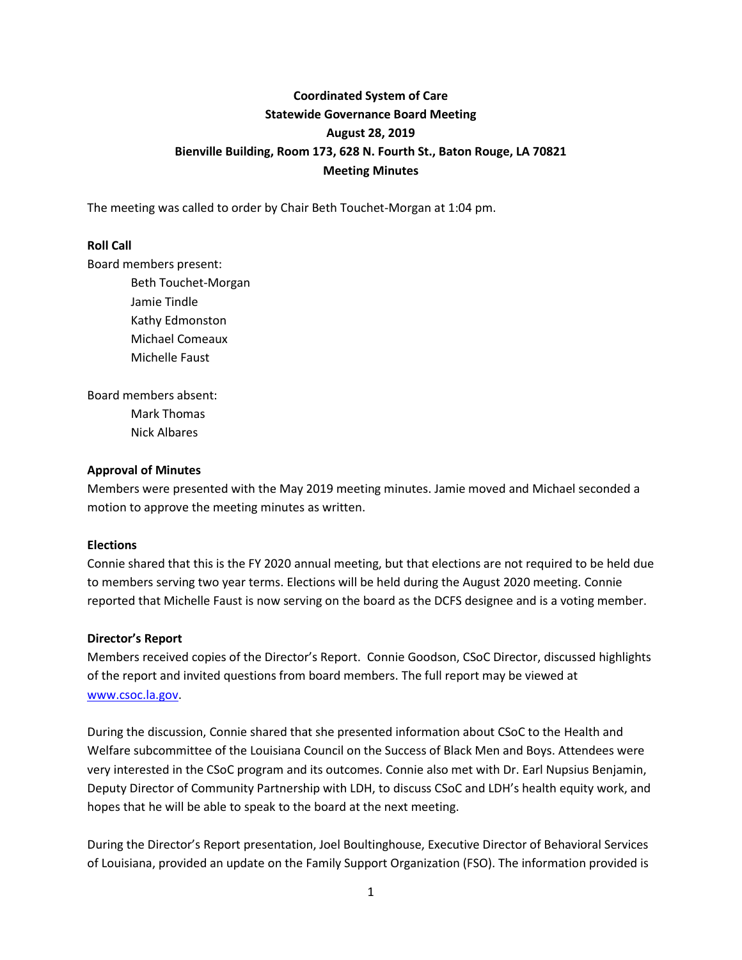# **Coordinated System of Care Statewide Governance Board Meeting August 28, 2019 Bienville Building, Room 173, 628 N. Fourth St., Baton Rouge, LA 70821 Meeting Minutes**

The meeting was called to order by Chair Beth Touchet-Morgan at 1:04 pm.

## **Roll Call**

Board members present:

Beth Touchet-Morgan Jamie Tindle Kathy Edmonston Michael Comeaux Michelle Faust

Board members absent: Mark Thomas Nick Albares

#### **Approval of Minutes**

Members were presented with the May 2019 meeting minutes. Jamie moved and Michael seconded a motion to approve the meeting minutes as written.

#### **Elections**

Connie shared that this is the FY 2020 annual meeting, but that elections are not required to be held due to members serving two year terms. Elections will be held during the August 2020 meeting. Connie reported that Michelle Faust is now serving on the board as the DCFS designee and is a voting member.

## **Director's Report**

Members received copies of the Director's Report. Connie Goodson, CSoC Director, discussed highlights of the report and invited questions from board members. The full report may be viewed at [www.csoc.la.gov.](http://www.csoc.la.gov/)

During the discussion, Connie shared that she presented information about CSoC to the Health and Welfare subcommittee of the Louisiana Council on the Success of Black Men and Boys. Attendees were very interested in the CSoC program and its outcomes. Connie also met with Dr. Earl Nupsius Benjamin, Deputy Director of Community Partnership with LDH, to discuss CSoC and LDH's health equity work, and hopes that he will be able to speak to the board at the next meeting.

During the Director's Report presentation, Joel Boultinghouse, Executive Director of Behavioral Services of Louisiana, provided an update on the Family Support Organization (FSO). The information provided is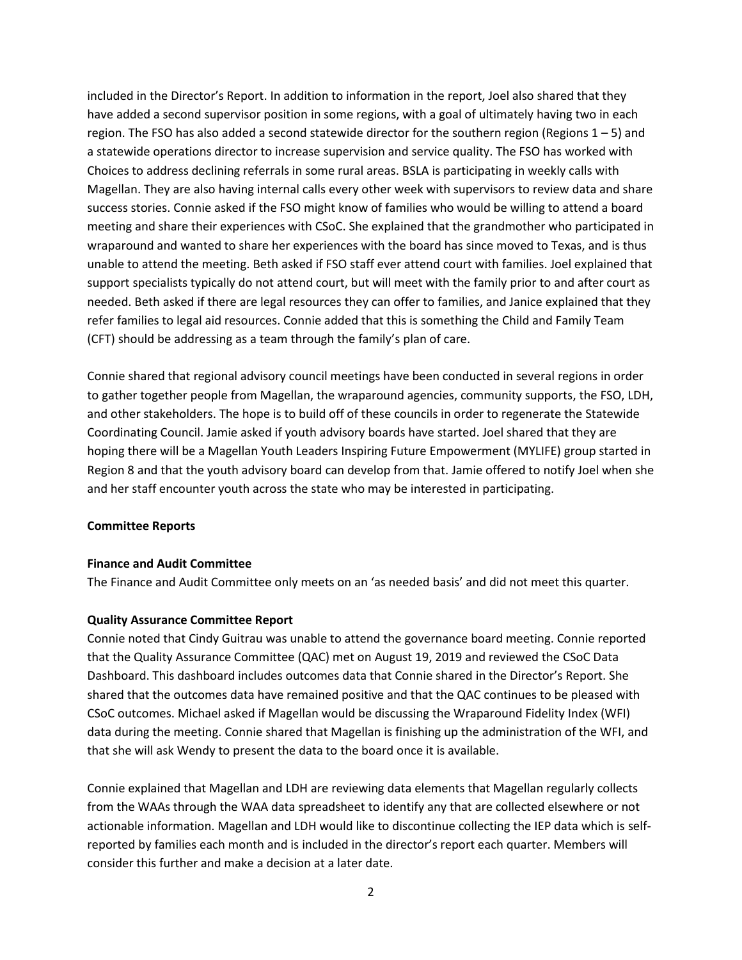included in the Director's Report. In addition to information in the report, Joel also shared that they have added a second supervisor position in some regions, with a goal of ultimately having two in each region. The FSO has also added a second statewide director for the southern region (Regions  $1 - 5$ ) and a statewide operations director to increase supervision and service quality. The FSO has worked with Choices to address declining referrals in some rural areas. BSLA is participating in weekly calls with Magellan. They are also having internal calls every other week with supervisors to review data and share success stories. Connie asked if the FSO might know of families who would be willing to attend a board meeting and share their experiences with CSoC. She explained that the grandmother who participated in wraparound and wanted to share her experiences with the board has since moved to Texas, and is thus unable to attend the meeting. Beth asked if FSO staff ever attend court with families. Joel explained that support specialists typically do not attend court, but will meet with the family prior to and after court as needed. Beth asked if there are legal resources they can offer to families, and Janice explained that they refer families to legal aid resources. Connie added that this is something the Child and Family Team (CFT) should be addressing as a team through the family's plan of care.

Connie shared that regional advisory council meetings have been conducted in several regions in order to gather together people from Magellan, the wraparound agencies, community supports, the FSO, LDH, and other stakeholders. The hope is to build off of these councils in order to regenerate the Statewide Coordinating Council. Jamie asked if youth advisory boards have started. Joel shared that they are hoping there will be a Magellan Youth Leaders Inspiring Future Empowerment (MYLIFE) group started in Region 8 and that the youth advisory board can develop from that. Jamie offered to notify Joel when she and her staff encounter youth across the state who may be interested in participating.

## **Committee Reports**

#### **Finance and Audit Committee**

The Finance and Audit Committee only meets on an 'as needed basis' and did not meet this quarter.

#### **Quality Assurance Committee Report**

Connie noted that Cindy Guitrau was unable to attend the governance board meeting. Connie reported that the Quality Assurance Committee (QAC) met on August 19, 2019 and reviewed the CSoC Data Dashboard. This dashboard includes outcomes data that Connie shared in the Director's Report. She shared that the outcomes data have remained positive and that the QAC continues to be pleased with CSoC outcomes. Michael asked if Magellan would be discussing the Wraparound Fidelity Index (WFI) data during the meeting. Connie shared that Magellan is finishing up the administration of the WFI, and that she will ask Wendy to present the data to the board once it is available.

Connie explained that Magellan and LDH are reviewing data elements that Magellan regularly collects from the WAAs through the WAA data spreadsheet to identify any that are collected elsewhere or not actionable information. Magellan and LDH would like to discontinue collecting the IEP data which is selfreported by families each month and is included in the director's report each quarter. Members will consider this further and make a decision at a later date.